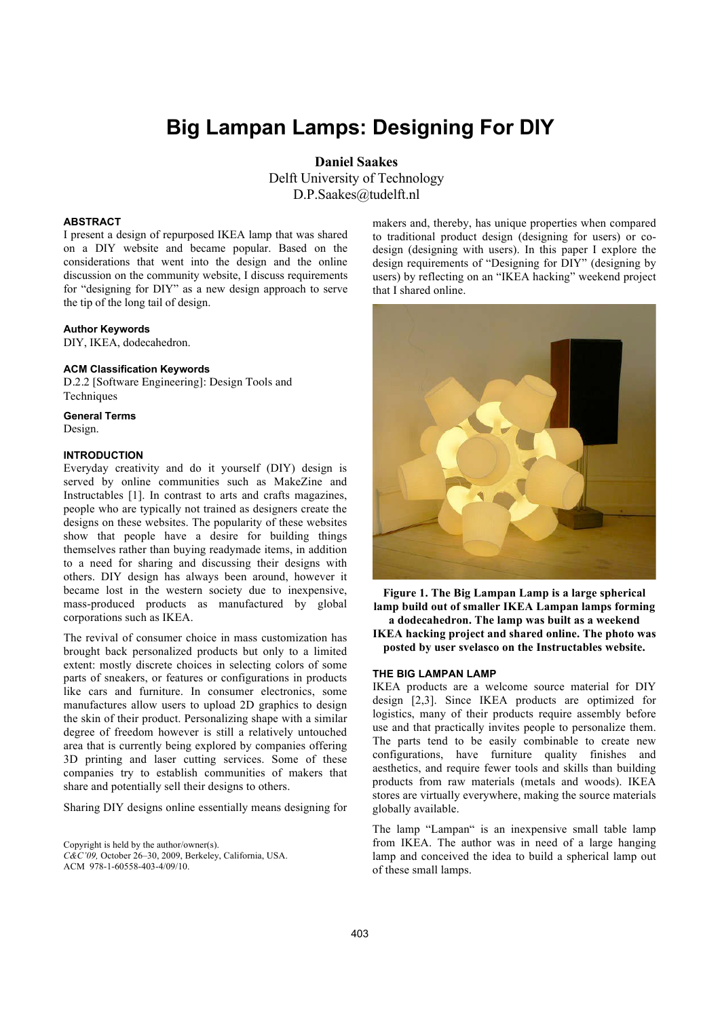# **Big Lampan Lamps: Designing For DIY**

**Daniel Saakes** Delft University of Technology D.P.Saakes@tudelft.nl

## **ABSTRACT**

I present a design of repurposed IKEA lamp that was shared on a DIY website and became popular. Based on the considerations that went into the design and the online discussion on the community website, I discuss requirements for "designing for DIY" as a new design approach to serve the tip of the long tail of design.

#### **Author Keywords**

DIY, IKEA, dodecahedron.

### **ACM Classification Keywords**

D.2.2 [Software Engineering]: Design Tools and Techniques

# **General Terms**

Design.

## **INTRODUCTION**

Everyday creativity and do it yourself (DIY) design is served by online communities such as MakeZine and Instructables [1]. In contrast to arts and crafts magazines, people who are typically not trained as designers create the designs on these websites. The popularity of these websites show that people have a desire for building things themselves rather than buying readymade items, in addition to a need for sharing and discussing their designs with others. DIY design has always been around, however it became lost in the western society due to inexpensive, mass-produced products as manufactured by global corporations such as IKEA.

The revival of consumer choice in mass customization has brought back personalized products but only to a limited extent: mostly discrete choices in selecting colors of some parts of sneakers, or features or configurations in products like cars and furniture. In consumer electronics, some manufactures allow users to upload 2D graphics to design the skin of their product. Personalizing shape with a similar degree of freedom however is still a relatively untouched area that is currently being explored by companies offering 3D printing and laser cutting services. Some of these companies try to establish communities of makers that share and potentially sell their designs to others.

Sharing DIY designs online essentially means designing for

Copyright is held by the author/owner(s). *C&C'09,* October 26–30, 2009, Berkeley, California, USA. ACM 978-1-60558-403-4/09/10.

makers and, thereby, has unique properties when compared to traditional product design (designing for users) or codesign (designing with users). In this paper I explore the design requirements of "Designing for DIY" (designing by users) by reflecting on an "IKEA hacking" weekend project that I shared online.



**Figure 1. The Big Lampan Lamp is a large spherical lamp build out of smaller IKEA Lampan lamps forming a dodecahedron. The lamp was built as a weekend** 

**IKEA hacking project and shared online. The photo was posted by user svelasco on the Instructables website.**

#### **THE BIG LAMPAN LAMP**

IKEA products are a welcome source material for DIY design [2,3]. Since IKEA products are optimized for logistics, many of their products require assembly before use and that practically invites people to personalize them. The parts tend to be easily combinable to create new configurations, have furniture quality finishes and aesthetics, and require fewer tools and skills than building products from raw materials (metals and woods). IKEA stores are virtually everywhere, making the source materials globally available.

The lamp "Lampan" is an inexpensive small table lamp from IKEA. The author was in need of a large hanging lamp and conceived the idea to build a spherical lamp out of these small lamps.